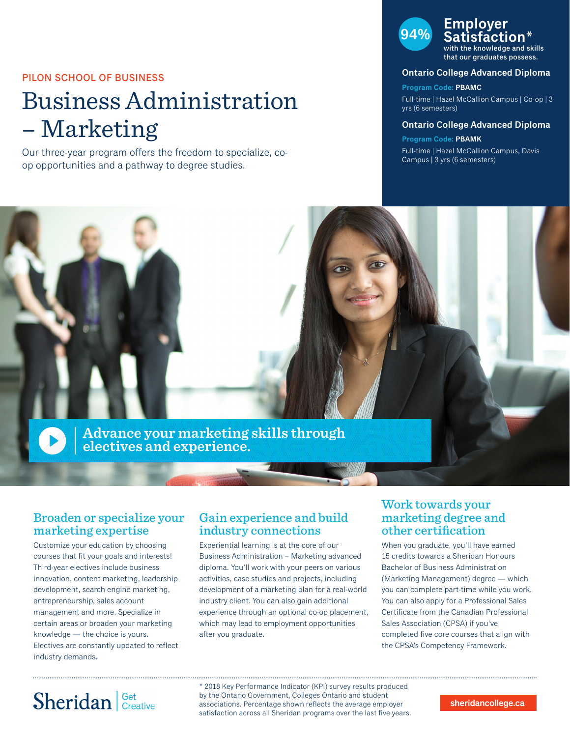### PILON SCHOOL OF BUSINESS

# Business Administration – Marketing

Our three-year program offers the freedom to specialize, coop opportunities and a pathway to degree studies.

## **94% Employer Istaction**\*

with the knowledge and skills that our graduates possess.

#### **Ontario College Advanced Diploma**

**Program Code: PBAMC** Full-time | Hazel McCallion Campus | Co-op | 3 yrs (6 semesters)

#### **Ontario College Advanced Diploma**

**Program Code: PBAMK** Full-time | Hazel McCallion Campus, Davis Campus | 3 yrs (6 semesters)



### Broaden or specialize your marketing expertise

Customize your education by choosing courses that fit your goals and interests! Third-year electives include business innovation, content marketing, leadership development, search engine marketing, entrepreneurship, sales account management and more. Specialize in certain areas or broaden your marketing knowledge — the choice is yours. Electives are constantly updated to reflect industry demands.

### Gain experience and build industry connections

Experiential learning is at the core of our Business Administration – Marketing advanced diploma. You'll work with your peers on various activities, case studies and projects, including development of a marketing plan for a real-world industry client. You can also gain additional experience through an optional co-op placement, which may lead to employment opportunities after you graduate.

## Work towards your marketing degree and other certification

When you graduate, you'll have earned 15 credits towards a Sheridan Honours Bachelor of Business Administration (Marketing Management) degree — which you can complete part-time while you work. You can also apply for a Professional Sales Certificate from the Canadian Professional Sales Association (CPSA) if you've completed five core courses that align with the CPSA's Competency Framework.

# Sheridan Get Creative

\* 2018 Key Performance Indicator (KPI) survey results produced by the Ontario Government, Colleges Ontario and student associations. Percentage shown reflects the average employer satisfaction across all Sheridan programs over the last five years.